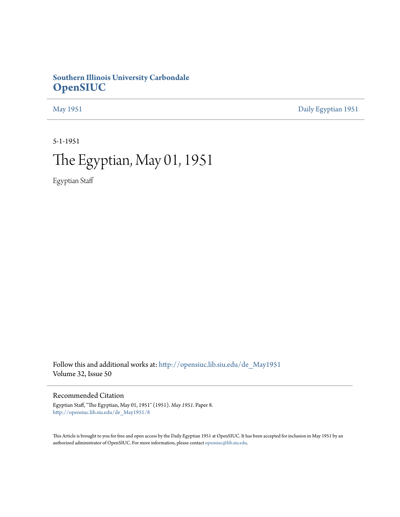## **Southern Illinois University Carbondale [OpenSIUC](http://opensiuc.lib.siu.edu?utm_source=opensiuc.lib.siu.edu%2Fde_May1951%2F8&utm_medium=PDF&utm_campaign=PDFCoverPages)**

[May 1951](http://opensiuc.lib.siu.edu/de_May1951?utm_source=opensiuc.lib.siu.edu%2Fde_May1951%2F8&utm_medium=PDF&utm_campaign=PDFCoverPages) [Daily Egyptian 1951](http://opensiuc.lib.siu.edu/de_1951?utm_source=opensiuc.lib.siu.edu%2Fde_May1951%2F8&utm_medium=PDF&utm_campaign=PDFCoverPages)

5-1-1951

# The Egyptian, May 01, 1951

Egyptian Staff

Follow this and additional works at: [http://opensiuc.lib.siu.edu/de\\_May1951](http://opensiuc.lib.siu.edu/de_May1951?utm_source=opensiuc.lib.siu.edu%2Fde_May1951%2F8&utm_medium=PDF&utm_campaign=PDFCoverPages) Volume 32, Issue 50

Recommended Citation

Egyptian Staff, "The Egyptian, May 01, 1951" (1951). *May 1951.* Paper 8. [http://opensiuc.lib.siu.edu/de\\_May1951/8](http://opensiuc.lib.siu.edu/de_May1951/8?utm_source=opensiuc.lib.siu.edu%2Fde_May1951%2F8&utm_medium=PDF&utm_campaign=PDFCoverPages)

This Article is brought to you for free and open access by the Daily Egyptian 1951 at OpenSIUC. It has been accepted for inclusion in May 1951 by an authorized administrator of OpenSIUC. For more information, please contact [opensiuc@lib.siu.edu](mailto:opensiuc@lib.siu.edu).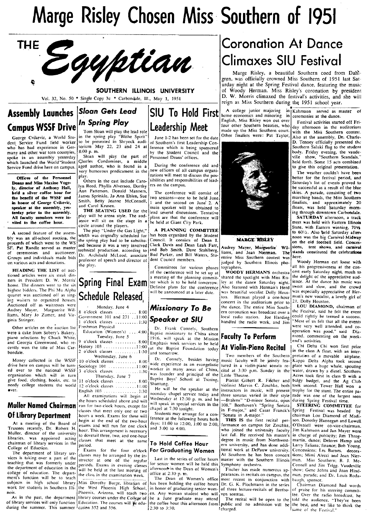# Marge Risley Chosen Miss Southern of 1951



### SOUTHERN ILLINOIS UNIVERSITY

Vol. 32, No. 50  $*$  Single Copy 3c  $*$  Carbondale, III., May 1, 1951

## Assembly Launches *Sloan Gets Lead*<br>Computer **Driver In Spring Play** Campus WSSF Drive *In Spring Play* **Law** *Dempus WSSF Drive*  $\int_{\text{Tom Sloan will play the lead role} }$

George Cvikevic, a World Student Service Fund field worker who' has had experience in Germany and other war torn countries, spoke in an assembly yesterday which launched the World'Student Service Fund drive here on campus.

Offices of the Personnel Deans and Miss Maxine Vogely, director of Anthony Hall, held a silver coffee hour for tho benefit of the WSSF and in hoaor of George Cvikevic, speaker at the assembly, yesterday prior to the assembly. All faculty members were in vited to the coffee hour.

A second feature of the assembly was an all-school auction, the p;oceeds of which went to the WS SF. Pat Randle served as master of ceremon ies and auctioneer. Groups and individuals made bids on various acts and donations.

HEADING THE LIST of auctioned articles were six steak dinners in President D. W. Morris' home. The dinners went to the six highest bidders. The Phi Mu Alpha quartet was auctioned off as singing waiters to organized houses. Auctioned off as waitresses were Audrey Mayer, Marguerite Williams, Marv Jo Zumcr, and Virginia Stringer.

were a cake from Sobery's Bakery. Education (Women's) ....4:00 Baptist missionary to China since **Faculty To Perform** properation was good," said Dia-<br>piano selections by Chuck White, Tuesday, June 5 1916. will speak at th

ment's function will be to teach The Dean of Women's office most recent in conjunction with subjects in high school library Miss Dorothy Burge, libratian of has been holding the coffee hours Dr. G. K. Plochmann in the seri

in the spring play "Blithe Spirit" to be presented in Shryock auditorium May 22, 23 and 24 at  $8:00 \text{ p. m.}$ 

8:00 p. m. Sloan will play the part of Charles Condomines, a middle aged author, who is found in a very humorous predicament in the

play. Others in Ihe cast include Carolyn Reed, Phyllis Alverson, Dorthy Ann Patterson. Donald Manners, James Sprinkle, Jo Ann Eblen, Sue Smith, Betty Jeanne McConnell, and Carol Krusen.

THE SEATING USED for the<br>play will be arena style. The audeircle around the players.<br>The play "Under the Gas Light,"

technical production. according to Dr. Archibald McLeod, associate professor of speech and director of<br>the play.

# Leadership Meet

June 1-2 has been set for the date of Southern's first Leadership Conference which is being sponsored by the Student Council and the Personnel Deans' offices.

During the conference old and new officers of all campus organizations will meet to discuss the possibilities and responsibilities of lead*ers* on the campus.

The conference will consist of two sessions-one to be held June. 1 and the second on June' 2. A main speaker will be obtained to lead several discussions. Tentative play will be arena style. The aud-<br>lends are that the conference will ence will ence will be held at Giant City Park.

The play "Under the Gas Light,"  $\begin{bmatrix} A & PLANNING & COMMITTEE \\ A & PLANNING & COMMITTE \\ which was originally scheduled for  $\begin{bmatrix} has been organized by the Student \end{bmatrix}$$ has been organized by the Student<br>Council. It consists of Dean I. the spring play had to be substitu- Council. It consists of Dean I.<br>Ied because it was a very involved Clark Davis and Dean Leah Farr. ted because it was a very involved Clark Davis and Dean Leah Farr, technical production, according to and Bob Smith, Dave Stahlberg, Bud Parker, and Bill Waters, Stu-

Money collected in the WSSF 10 o'clock classes ........ 8:00 Dr. Connely, besides having music faculty will be jointly fea- [Kappa Delta Alpha took second drive here on campus will be turn- Sociology 101. Sociology 101. The second wide experience as an evangelistic fured in a violin-piano sonata re- place with a huge whale, spouting<br>ed over to the national WSSF 3 o'clock cla

Muller Named Chairman run for two clock hours, except for will speak in special services in the 108," Beethoven's "Spring Sonata, opus during Spring Festival time.

structure at one of the transies for senior women will be held this Symphony orchestra.<br>will be held at the last meeting of  $\left| \right|_{\text{a}}^{\text{ferm}}$  and  $\left| \right|$ . The Dean of Women's Fischer has made

## Coronation At Dance Climaxes SIU Festival

Marge Risley, a beautiful Southern coed from Dah) gren, was officially crowned Miss Southern of 1951 last Saturday night at the Spring Festival dance, featuring the music of Woody Herman. Miss Risley's coronation by president D. W. Morris climaxed the festival's activities, and she will  $\overline{\text{SIO}}$  To Hold First and the content of majoring in Kahmann served as measured as  $\overline{\text{SIO}}$  To Hold First home economics and minoring in Kahmann served as measured as  $\overline{\text{SIO}}$ 

home economics and minoring in ceremonies at the dance.<br>English, Miss Risley won out over Eastinal originals start made up the Miss Southern court.<br>Other finalists were: Pat Taylor,



### **MARCE RISLEV**

Audrey Mayer, Marguerite Williams, and Jean Nierman. The entire Miss Southern contest was here.<br>judged by Southern Illinois pho- Woody Herman cut loose with In Council members.<br>Committees for various phases tographers.

**Schedule Released, Will be announced at a later date.** Was beautiful vocalist Dolly Hous- was especially appreciative of Her-<br>tion. Herman played a one-hour more to Halls- a lovely girl of<br>Mission Carry **To Bo.** (the danc Herman played a one-hour concert in the auditorium prior to<br>the dance. The entire Miss South-

college of education. The depart- the class-s in the camination week. The Dean of Women's office at 2:30 p. m.<br>In Dean of Women's office most recent in conjunction with baugh, sponsor.<br>
The Dean of Women's office most rece subjects in high school library Miss Dorothy Burge, libratian of has been holding the coffee hours Dr. G. K. Plochmann in the series Chairman Diamond had words work for students in Southern Illi- the West Phoenix. High School, in honor of graduating senior wom- of three lecture-recitals of Beetho- of praise for his steering commit-<br>nois. [Phoenix, Arizona, will teach two en. Any

A college junior majoring in Kahmann served as master of

English, Miss Risley won out over Festival activities started off Fri-<br>four other Southern beauties, who  $\frac{1}{\text{day}}$  afternoon in the auditorium with the Miss Southern contest. Also at the assembly, Dr. Charles D. Tenney officially presented the<br>Southern Saluki flag to the student bounded balaxi ring to the statements body. Friday evening, the vaude-<br>ville show, "Southern Scandals," held forth. Some 15 acts combined to give this original presentation.

The weather couldn't have been better for the festival period, and Saturday's list of events proved to be successful as a result of the blue skies. A parade, consisting of two marching bands, the Miss Southern finalists, and approximately 20<br>floats, was held Saturday morning through downtown Carbondale.

SATURDAY afternoon, a track meet was held with Eastern Illinois State, with Eastern winning, 7014 to 601/2. Also beld Saturday afternoon was the big Carnival-Midway on the old football field. Concessions, tent shows, and carnival stands constituted the celebrations

graphers.<br>graphers. **WOODY HERMAN'S** orchestra<sup>l</sup> cert early Saturday night, much to of the conference will be set up at WOODY HERMAN'S orchestra cert early Saturday night, much to a meeting of the planning commit-<br>shared the spotlight with Miss Ris- the delight of the appreciative aud-**Spring Final Exam** the plans for the conference As to the dance Saturday night. These At the dance his music was<br>Definite plans for the conference Also featured with Herman's Herd Sweet and slow, and the crowd Definite plans for the conference Also featured with Herman's Herd Sweet and slow, and the crowd<br>will be announced at a later date. Was beautiful vocalist Dolly Hous-1 was especially appreciative of Her-

Monday, June 4<br>8 o'clock classes ......... 8:00 **Missionary To Be**<br>Government 101 and 231 ...11:00 **Conceber of CILE** Government 101 and 231 ...11:00 Speaker at SIU **Indianally** local radio station. Joe Harding could rightly be termed a success. I o'clock classes .......... 1:30 *pea* er a handled the radio work, and Jim "Most of us felt that all Ihe events <sup>~</sup>Fre<;hman Phvsical ""'ere very well attended, and co- Other articles on the auction Jist Educatl'on -(Wonlen",) ... Dr. Frank Connely. Southern operation was good," said Dia- were a c~ke from Sober\"~ Bakery, .~ 4:0U Bapti~1 mi!'!sionary to China since F It T P rf d' h k

and Georgia Greenwood. who reo 9 o'clock classes ......... 800 EmphaSiS "eek serVices to be held At v,'ol"n-PIG' no Recl'tal I' Chi Delta Chi won first prize centlv won the title of Miss Car- HIStory 103 ......... 1 1 '00 lat the Bap"" Foundation today . h I A f1 .th . - 2 . J k I 1 1,.0 In tee ass oat, WI an mter- bondale. 0 c DC We~~~~~sav, June 6 - and tomorrow . T~o members. of th~ .Southern I p~ret3tien of a movable airplane. organization which will in turn Thur~djJv June 7 .. "'tl~ founder and prmclpal of the Little Theatre. Acres took firM in class 'B with a give food. clothing, books. etc. to 1 1 o'clock classe',' .... 800 I Baptist Boys' School at TSlOlng, Pianist Gilbert R. Fischer and bulgy bWdget. and the Ag Club needy college students the world 12 o'clock classes . 1 I 00 Shantung. violini~t Marvin C. Zoschke. both took second. Tower Hal( won a ever.<br>
English 103 He will be the speaker at the instructors in music, will present trophy for the stunt. The entire pa-<br>
All examinations will begin at noonday chapel service today and three sonatas varied in their style

Of Library Department<br>begin at the end of these will ference at the following hours both THIS IS the first recital per- son. Dorothy Hannegan and Lowell<br>begin at the end of the two-hour ference at the following hours both begin at the end of the two-hour lecence at the following hours both **THIS IS** the first recital per- son. Dorothy Hannegan and Lowell exams and will run for one clock and 200 to 100 to 2:00, 1:00 to 2:00, formance on camp At a meeting of the Board of exams and will run for one clock days: 11:00 to 12:00, 1:00 to 2:00, formance on campus for Zeschke, O'Daniell were co-vice-chairman.<br>Trustees recently, Dr. Robert H. hour. This arrangement is libraries, was appointed acting classes that meet at the same **To Hold Coffee Hour** enter the music from Northwest- martin, dance; Delorey is more than throg-<br>College of Eduction College of Eduction.<br>
College of Eduction.<br>
The department of library services in the four of library services in the four o'clock For Graduating Women tional work at DePauw university. Concessions: Les Barnes, decora-<br>
Th The department of library ser- classes may be arranged by the in-<br>
vices is taking over a part of the service of the regular and the series of coffee hours master with the Southern Illinois man. Miss Southern; B. J. Mcvices is taking over a part of the structor at one of the regular Last in the series of coffee hours master with the Southern Illinois man. Miss Southern; B. J. Mc-<br>the decline was formed to the periods. Exams in evening c the department of education in the print of while he held at the last meeting classes afternoon in the Dean of Women's I Fischer has made numerous ap- show: Gene Johns and Joan Hind-<br>college of education. The depart-<br>colle

nois. The past, the department process will pencent and the college of be a June graduate may attend the will ven sonatas.<br>As in the past, the department plibrary courses under the College of be a June graduate may attend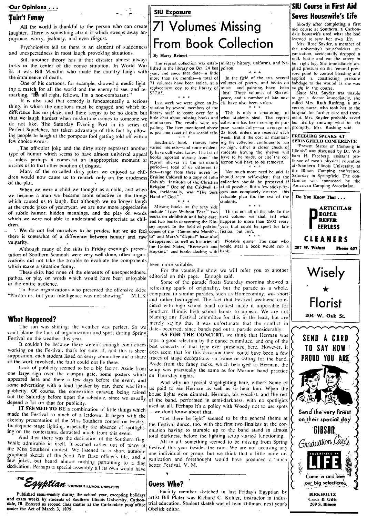### lain't Funny

All the world is thankful to the person who can create laughter. There is something about it which sweeps away an noyance. worry. jealousy, and even disgust.<br>Psychologists tell us there is an element of suddenness

Psychologists tell us there is an element of suddenness **and unexpectedness** in most laugh provoking situations.<br> **External of the state of the artery in** Still another theory has it that disaster almost always **By Harry R** 

Still another theory has it that disaster almost always lurks in the center of the comic situation. In World War 11. it was Bill Maudlin who made the country laugh with the imminence of death.

One of his cartoons. for example, showed a medic lighting a match for all the world and the enemy to see, and remarking, "IS all right. fellows, I'm a non-combatant."

It is also said that comedy is fundamentally a serious thing; in which the emotions must be engaged and where in· difference has no place, and there seems to be no doubt but that we laugh hardest when misfortune comes to someone we do not like. The Saturday Evening Post in its series of Perfect Squelches, has taken advantage of this fact by allowing people to laugh at the pompous fool getting told off with a few choice words.

The off-color joke and the dirty story represent another type of humor which seems to have almost universal appeal -unless perhaps it comes at an inappropriate moment or excites us to that other emotion of disgust.

Many of the so·called dirty jokes we enjoyed as chil dren would now cause us to remark only on the crudeness bf the plot.

When we were a child we thought as a child, and when we became a man we became more selective in the things which caused us to laugh. But although we no longer laugh at the crude jokes of yesteryear. we are now more appreciative Missing books on the sexy side of subtle humor. hidden meanings, and the play on words include "Love Without Fear," two of subtle humor. hidden meanings, and the play on words include "Love Without Fear." two This is not all of the talc. In the talc. In the play on words include "Love Without Fear." two This is not all of the talc. In the t which we were not able to understand or appreciate as chil-  $\frac{1}{2}$  and two books concerning the Kin- happens to more than \$500 every tell what dren.<br>See report. In the field of politics, year, that could be spent for la

<sup>2</sup> We do not feel ourselves to be prudes, but we do feel copies of the "Communist Manifes. fiction, but isn't.<br>ere is somewhat of a difference between humor and raw to" and Marx's "Capital" have also there is somewhat of a difference between humor and raw vulgarity. . disappeared. as well as histories of Notable quote: The man who

Although many of the skits in Friday evening's presen-line United States. "Roosevelt and would rob a steal and would result found. tation of Southern Scandals were very well done, other organizations did not take the trouble to evaluate the components which make a situation funny.

These skits had none of the elements of unexpectedness, pathos. or play on words which would have been enjoyable to the entire audience.

To those organizations who presented the offensive skits: "Pardon us, but your intelligence was not showing." M.L.S.

### What Happened?

The sun was shining: the weather was perfect. So we can't blame the lack of orgaanization and spirit during Spring Festival on the weather this year.

It couldn't be because there weren't enough committees working on the Festival. that's for sure. If. and this is sheer supposition. each student listed on every committee did a share of the work involved, the fault could not lie there.

Lack of publicity seemed to be a big factor. Aside from one large sign over the campus gate. some posters which appeared here and there a few days before the event. and .some advertising with a loud speaker by car, there was little publicity. Of course, the convertible caravan being rained out the Saturday before upset the schedule, since we usually depend a lot on that for publicity.

IT SEEMED TO BE a combination of little things which made the Festival so much of a letdown. It began with the sketchy presentation of the Miss Southern contest on Friday. Inadequate stage lighting, especially the absence of spotlighting on the contestants. detracted much from this event.

And then there was the dedication of the Southern flag. While admirable in itself, it seemed rather out of place at the Miss Southern contest. We listened to a short autobio graphical sketch of the Scott Air Base officer's life, and a few jokes, but heard almost nothing pertaining to a flag dedication. Perhaps a special assembly all its own would have dedication. Perhaps a special assembly all its own would have

**STHE EQUETION** SOUTHERN ILLINOIS UNIVERSITY

Published semi-weekly during the school year, excepting holidays and exam weeks by students of Southern Illinois University, Carbondale, Ill. Entered as second class matter at the Carbondale post office **ander the Act of March 3, 1879.** 

### SIU Exposure

# 71 Volumes 'Missing nce, worry, jealousy, and even disgust.<br>Psychologists tell us there is an element of suddenness **From Book Collection** the university's householders or

The reprint collection was estab- military history, uniforms, and Nalished in the library on Oct. 24 last poleon. year. and since that date-a little

71 volumes have been stolen. at a volumes of poetry, and books on replacement cost to the library of music and painting, have been

Last week we were given an invitation by several members of the library staff to come over for a little chat about missing books and<br>mutilations. The results were appalling. The item mentioned ahove is just one facet of the sordid tale.

Southern's book thieves have varied interests-and some evidently have cultivated tastes. The list of books reported missing from 'the reprint shelves in the six-month period-a total of 63 different titles-range from three novels by Erskine Caldwell to a copy of John Calvin's "Institutes of the Christian Religion." One of the Caldwel! ti tles. incidentally, was "The Sure Hand of  $God.$ "

### been more suitable.

For the vaudeville show we will refer you to another editorial on this page. Enough said.

Some of the parade floats Saturday morning showed a refreshing spark of originality. but the parade as a whole. compared to similar parades. such as Homecoming. was short and rather bedraggled. The fact that Festival week·end coincided with high school band contest made it impossible for Southern Illinois high school bands to appear. We are not blaming am Festival committee for this in the least, but are merely saying that it was unfortunate that the conflict in dates occurred, since bands pad out a parade considerably.

AS FOR THE CONCERT, we think that Herman was tops, a good selection by the dance committee, and one of the best concerts of that type ever presented here. However, it does seem that for this occasion there could have been a few traces of stage decorations-a frame or setting for the band. Aside from the fancy racks, which belonged to Herman. the setup was practically the same as for Maroon band practice on Thursday nights.

And why no special stagelighting here, either? Some of us paid to see Herman .as well as to hear him. When the house lights were dimmed, Herman, his vocalist, and the rest of the band. performed in semi-darkness. with no spotlights used at all. Perhaps it's a policy with Woody not to use spots -we don't know about that.

"Let there be light" seemed to be the general theme at the Festival dance, too, with the first two finalists at the coronation having to stumble up to the band stand in almost total darkness. before the lighting setup started functioning.

All in all, something seemed to be missing from Spring Festival this year besides the rain. We are not accusing any one individual or group. but we think that a little more organization and forethought would have produced a much better Festival. V. M.

### Guess Who?

more than six months-a total of In the field of the arts, several<br>71 volumes have been stolen, at a volumes of poetry, and books on replacement cost to the library of music and painting, have been<br>\$37.85. \$37.~5. ··Iost". Three volumes of Shakespeare, and a number of late novels have also been stolen.

> This is only a smattering of what students steal. The reprint collection has been serving its purpose wonderfully-an average of 25 book orders are received each week. But if the cost of maintaining the collection continues to run SPRINGFIELD CONFERENCE so high, either a closer check of students leaving the shelves will have to be made, or else' the col-<br> $\begin{bmatrix} \text{liam} & \text{H.} & \text{Freeberg, assistant pro-} \\ \text{hection will have to be removed} & \text{fessor of men's physical education} \end{bmatrix}$ lection will have to be removed.

Not much more need be said. It should seem self-evident that the collection should be preserved if at all possible. But a few sticky-fingers can completely destroy this valuable plan for. the rest of the students.





Shortly after completing a first aid course at Southern, a Carbondale housewife used what she had

learned to save her own life.<br>Mrs. Rose Snyder, a member of her right leg. She immediately applied pressure on the femoral pressure point to control bleeding and applied a constricting pressure<br>bandage to the wound as she was taught in the course.

Since Mrs. Snyder was unable to get a doctor immediately, she called Mrs. Ruth Rushing, a university nurse, who took her to the hospital for further care and treatment. Mrs. Snyder probably saved her life by knowing what to do promptly, Mrs. Rushing said.

## FREEBURG SPEAKS AT<br>SPRINGFIELD CONFERENCE

Illinois" was discussed by Dr. Wilat ~Southern Illinois University, at the Illinois Camping conference, Saturday in Springfield. The conference was sponsored by the American Camping Association.

> **ARTICULAR** EOPLE REFER . EERlESS

Do You Know That . . .



Faculty member sketched in last Friday's Egyptian by artist Bill Plater was Richard C. Kohler, instructor in industrial education. Student sketeh was of Jean Dillman. next year's Obelisk editor.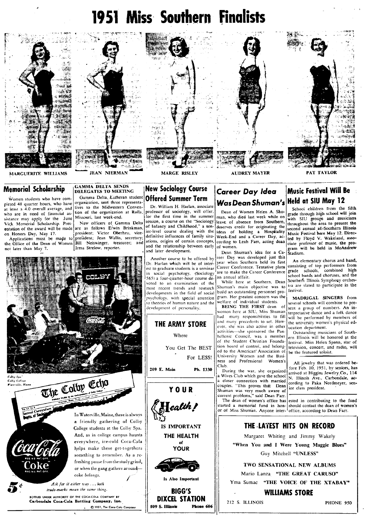## **1951 Miss Southern Finalists**



## **Memorial Scholarship**

Women students who have completed 48 quarter hours, who have at least a 4.0 overall average, and who are in need of financial assistance may apply for the June Vick Memorial Scholarship. Presentation of the award will be made on Honors Day, May 17.

Applications must be made to president; Jean Wallis, secretary; the Office of the Dean of Women not later than May 7.

.<br>Colby Coller

Offered Summer Term Dr. William H. Harlan, associate

**New Sociology Course** 

tives to the Midwestern Convenprofessor of sociology, will offer,<br>for the first time in the summer tion of the organization at Rolla, session, a course on the "Sociology New officers of Gamma Delta of Infancy and Childhood," a senare as follows Erwin Brinkman, ior-level course dealing with the president; Victor Oberheu, vicedefinitive influences of family situations, origins of certain concepts, Bill Neiswinger, treasurer: and and the relationship between early and later development.

> Another course to be offered by Dr. Harlan which will be of interest to graduate students is a seminar in social psychology, (Sociology 565) a four-quarter-hour course devoted to an examination of the most recent trends and research developments in the field of social psychology, with special attention to theories of human nature and the development of personality.



**GAMMA DELTA SENDS** 

Missouri, last week-end.

Irma Strelow, reporter.

DELEGATES TO MEETING

Gamma Delta, Lutheran student

organization, sent three representa-



Ask for it either way ... both trade-marks mean the same thing. BOTTLED UNDER AUTHORITY OF THE COCA-COLA COMPANY

Carbondale Coca-Cola Bottling Company, Inc. C 1951, The Coca-Cola Company

## **THE ARMY STORE** Where You Get The BEST For LESS! 209 E. Main Ph. 1330 YOUR  $\textbf{H}$ ealth! **IS IMPORTANT** THE HEALTH of YOUR



Is Also Important

**BIGG'S** DIXCEL STATION Phone 606 509 S. Illinois

## Career Day Idea Was Dean Shuman's Held at SIU May 12

Dean of Women Helen A. Shuman, who died last week while on leave of absence from Southern, deserves credit for originating the ideas of holding a Hospitality<br>Week-End and a Career Day, according to Leah Farr, acting dean of women.

Dean Shuman's idea for a Career Day was developed just this year when Southern held its first .<br>Career Conference. Tentative plans are to make the Career Conference an annual affair.

While here at Southern. Dean Shuman's main objective was to build an outstanding personnel program. Her greatest concern was the welfare of individual students.

BEING THE FIRST dean of women here at SIU, Miss Shuman had many responsibilities to fill and many precedents to set. However, she was also active in other activities-she sponsored the Panhellenic Council, was a member of the Student Christian Foundation board of control, and belonged to the American Association of University Women and the Busi-<br>ness and Professional Women's Club.

During the war, she organized a Wives Club which gave the school a closer connection with married<br>couples. "This proves that Dean Shuman was very much aware of<br>current problems," said Dean Farr. The dean of women's office has or of Miss Shuman. Anyone inter- office, according to Dean Farr.

# **Music Festival Will Be**

School children from the fifth grade through high school will join with SIU groups and musicians<br>throughout the area to present the second annual all-Southern Illinois<br>Music Festival here May 12. Directed by Floyd V. Wakeland, associate professor of music, the program will be held in McAndrew .<br>Stadium.

An elementary chorus and band, consisting of top performers from grade schools, combined high school bands and choruses, and the Southern Illinois Symphony orchestra are slated to participate in the festival.

MADRIGAL SINGERS from several schools will combine to preservice below the contract of pri-<br>sent a group of numbers. An in-<br>terpretative dance and a folk dance will be performed by members of the university women's physical education department.

Outstanding musicians of Southern Illinois will be honored at the festival. Miss Helen Spann, star of television, concert, and radio, will be the featured soloist.

All jewelry that was ordered be-<br>fore Feb. 10, 1951, by seniors, has arrived at Higgins Jewelry Co., 114 N. Illinois Ave., Carbondale, according to Paka Nordmeyer, senior class president.

ested in contributing to the fund started a memorial fund in hon-should contact the dean of women's